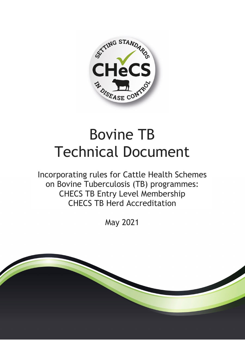

# Bovine TB Technical Document

Incorporating rules for Cattle Health Schemes on Bovine Tuberculosis (TB) programmes: CHECS TB Entry Level Membership CHECS TB Herd Accreditation

May 2021

<span id="page-0-0"></span>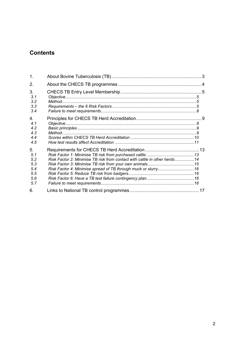# **Contents**

| $\mathbf 1$ .                                       |                                                                                                                                             |  |
|-----------------------------------------------------|---------------------------------------------------------------------------------------------------------------------------------------------|--|
| 2.                                                  |                                                                                                                                             |  |
| 3.<br>3.1<br>3.2<br>3.3<br>3.4                      |                                                                                                                                             |  |
| 4.<br>4.1<br>4.2<br>4.3<br>44<br>4.5                |                                                                                                                                             |  |
| 5.<br>5.1<br>5.2<br>5.3<br>5.4<br>5.5<br>5.6<br>5.7 | Risk Factor 2: Minimise TB risk from contact with cattle in other herds14<br>Risk Factor 4: Minimise spread of TB through muck or slurry 16 |  |
| 6.                                                  |                                                                                                                                             |  |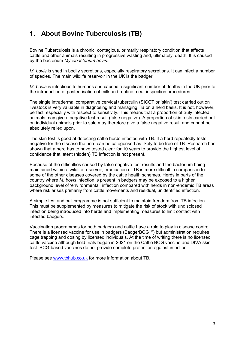# <span id="page-2-0"></span>**1. About Bovine Tuberculosis (TB)**

Bovine Tuberculosis is a chronic, contagious, primarily respiratory condition that affects cattle and other animals resulting in progressive wasting and, ultimately, death. It is caused by the bacterium *Mycobacterium bovis*.

*M. bovis* is shed in bodily secretions, especially respiratory secretions. It can infect a number of species. The main wildlife reservoir in the UK is the badger.

*M. bovis* is infectious to humans and caused a significant number of deaths in the UK prior to the introduction of pasteurisation of milk and routine meat inspection procedures.

The single intradermal comparative cervical tuberculin (SICCT or 'skin') test carried out on livestock is very valuable in diagnosing and managing TB on a herd basis. It is not, however, perfect, especially with respect to sensitivity. This means that a proportion of truly infected animals may give a negative test result (false negative). A proportion of skin tests carried out on individual animals prior to sale may therefore give a false negative result and cannot be absolutely relied upon.

The skin test is good at detecting cattle herds infected with TB. If a herd repeatedly tests negative for the disease the herd can be categorised as likely to be free of TB. Research has shown that a herd has to have tested clear for 10 years to provide the highest level of confidence that latent (hidden) TB infection is not present.

Because of the difficulties caused by false negative test results and the bacterium being maintained within a wildlife reservoir, eradication of TB is more difficult in comparison to some of the other diseases covered by the cattle health schemes. Herds in parts of the country where *M. bovis* infection is present in badgers may be exposed to a higher background level of 'environmental' infection compared with herds in non-endemic TB areas where risk arises primarily from cattle movements and residual, unidentified infection.

A simple test and cull programme is not sufficient to maintain freedom from TB infection. This must be supplemented by measures to mitigate the risk of stock with undisclosed infection being introduced into herds and implementing measures to limit contact with infected badgers.

Vaccination programmes for both badgers and cattle have a role to play in disease control. There is a licensed vaccine for use in badgers (BadgerBCGTM) but administration requires cage trapping and dosing by licensed individuals. At the time of writing there is no licensed cattle vaccine although field trials began in 2021 on the Cattle BCG vaccine and DIVA skin test. BCG-based vaccines do not provide complete protection against infection.

Please see [www.tbhub.co.uk](http://www.tbhub.co.uk/) for more information about TB.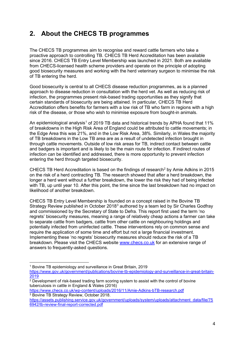# <span id="page-3-0"></span>**2. About the CHECS TB programmes**

The CHECS TB programmes aim to recognise and reward cattle farmers who take a proactive approach to controlling TB. CHECS TB Herd Accreditation has been available since 2016. CHECS TB Entry Level Membership was launched in 2021. Both are available from CHECS-licensed health scheme providers and operate on the principle of adopting good biosecurity measures and working with the herd veterinary surgeon to minimise the risk of TB entering the herd.

Good biosecurity is central to all CHECS disease reduction programmes, as is a planned approach to disease reduction in consultation with the herd vet. As well as reducing risk of infection, the programmes present risk-based trading opportunities as they signify that certain standards of biosecurity are being attained. In particular, CHECS TB Herd Accreditation offers benefits for farmers with a low risk of TB who farm in regions with a high risk of the disease, or those who wish to minimise exposure from bought-in animals.

An epidemiological analysis<sup>[1](#page-0-0)</sup> of 2019 TB data and historical trends by APHA found that 11% of breakdowns in the High Risk Area of England could be attributed to cattle movements; in the Edge Area this was 21%, and in the Low Risk Area, 38%. Similarly, in Wales the majority of TB breakdowns in the Low TB area are as a result of undetected infection brought in through cattle movements. Outside of low risk areas for TB, indirect contact between cattle and badgers is important and is likely to be the main route for infection. If indirect routes of infection can be identified and addressed, there is more opportunity to prevent infection entering the herd through targeted biosecurity.

CHECS TB Herd Accreditation is based on the findings of research<sup>2</sup> by Amie Adkins in 2015 on the risk of a herd contracting TB. The research showed that after a herd breakdown, the longer a herd went without a further breakdown, the lower the risk they had of being infected with TB, up until year 10. After this point, the time since the last breakdown had no impact on likelihood of another breakdown.

CHECS TB Entry Level Membership is founded on a concept raised in the Bovine TB Strategy Review published in October 2018[3](#page-3-2) authored by a team led by Sir Charles Godfray and commissioned by the Secretary of State to Defra. This report first used the term 'no regrets' biosecurity measures, meaning a range of relatively cheap actions a farmer can take to separate cattle from badgers, cattle from other cattle on neighbouring holdings and potentially infected from uninfected cattle. These interventions rely on common sense and require the application of some time and effort but not a large financial investment. Implementing these 'no regrets' biosecurity measures should reduce the risk of a TB breakdown. Please visit the CHECS website [www.checs.co.uk](http://www.checs.co.uk/) for an extensive range of answers to frequently-asked questions.

<sup>1</sup> Bovine TB epidemiology and surveillance in Great Britain, 2019 [https://www.gov.uk/government/publications/bovine-tb-epidemiology-and-surveillance-in-great-britain-](https://www.gov.uk/government/publications/bovine-tb-epidemiology-and-surveillance-in-great-britain-2019)[2019](https://www.gov.uk/government/publications/bovine-tb-epidemiology-and-surveillance-in-great-britain-2019)

<span id="page-3-1"></span> $2$  Development of risk-based trading farm scoring system to assist with the control of bovine tuberculosis in cattle in England & Wales (2016)

<https://www.checs.co.uk/wp-content/uploads/2016/11/Amie-Adkins-bTB-research.pdf> <sup>3</sup> Bovine TB Strategy Review, October 2018.

<span id="page-3-2"></span>[https://assets.publishing.service.gov.uk/government/uploads/system/uploads/attachment\\_data/file/75](https://assets.publishing.service.gov.uk/government/uploads/system/uploads/attachment_data/file/756942/tb-review-final-report-corrected.pdf) [6942/tb-review-final-report-corrected.pdf](https://assets.publishing.service.gov.uk/government/uploads/system/uploads/attachment_data/file/756942/tb-review-final-report-corrected.pdf)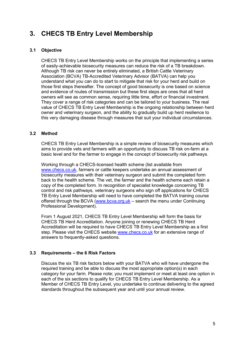# <span id="page-4-0"></span>**3. CHECS TB Entry Level Membership**

# <span id="page-4-1"></span>**3.1 Objective**

CHECS TB Entry Level Membership works on the principle that implementing a series of easily-achievable biosecurity measures can reduce the risk of a TB breakdown. Although TB risk can never be entirely eliminated, a British Cattle Veterinary Association (BCVA) TB-Accredited Veterinary Advisor (BATVA) can help you understand what you can do to start to mitigate that risk for your herd and build on those first steps thereafter. The concept of good biosecurity is one based on science and evidence of routes of transmission but these first steps are ones that all herd owners will see as common sense, requiring little time, effort or financial investment. They cover a range of risk categories and can be tailored to your business. The real value of CHECS TB Entry Level Membership is the ongoing relationship between herd owner and veterinary surgeon, and the ability to gradually build up herd resilience to this very damaging disease through measures that suit your individual circumstances.

# <span id="page-4-2"></span>**3.2 Method**

CHECS TB Entry Level Membership is a simple review of biosecurity measures which aims to provide vets and farmers with an opportunity to discuss TB risk on-farm at a basic level and for the farmer to engage in the concept of biosecurity risk pathways.

Working through a CHECS-licensed health scheme (list available from [www.checs.co.uk,](http://www.checs.co.uk/) farmers or cattle keepers undertake an annual assessment of biosecurity measures with their veterinary surgeon and submit the completed form back to the health scheme. The vet, the farmer and the health scheme each retain a copy of the completed form. In recognition of specialist knowledge concerning TB control and risk pathways, veterinary surgeons who sign off applications for CHECS TB Entry Level Membership will need to have completed the BATVA training course offered through the BCVA [\(www.bcva.org.uk](http://www.bcva.org.uk/) – search the menu under Continuing Professional Development).

From 1 August 2021, CHECS TB Entry Level Membership will form the basis for CHECS TB Herd Accreditation. Anyone joining or renewing CHECS TB Herd Accreditation will be required to have CHECS TB Entry Level Membership as a first step. Please visit the CHECS website [www.checs.co.uk](http://www.checs.co.uk/) for an extensive range of answers to frequently-asked questions.

# <span id="page-4-3"></span>**3.3 Requirements – the 6 Risk Factors**

Discuss the six TB risk factors below with your BATVA who will have undergone the required training and be able to discuss the most appropriate option(s) in each category for your farm. Please note; you must implement or meet at least one option in each of the six sections to qualify for CHECS TB Entry Level Membership. As a Member of CHECS TB Entry Level, you undertake to continue delivering to the agreed standards throughout the subsequent year and until your annual review.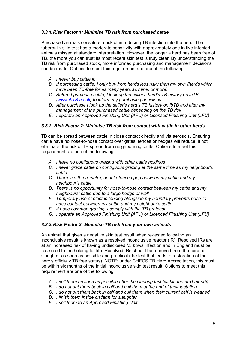# *3.3.1.Risk Factor 1: Minimise TB risk from purchased cattle*

Purchased animals constitute a risk of introducing TB infection into the herd. The tuberculin skin test has a moderate sensitivity with approximately one in five infected animals missed at standard interpretation. However, the longer a herd has been free of TB, the more you can trust its most recent skin test is truly clear. By understanding the TB risk from purchased stock, more informed purchasing and management decisions can be made. Options to meet this requirement are one of the following:

- *A. I never buy cattle in*
- *B. If purchasing cattle, I only buy from herds less risky than my own (herds which have been TB-free for as many years as mine, or more)*
- *C. Before I purchase cattle, I look up the seller's herd's TB history on ibTB [\(www.ibTB.co.uk\)](http://www.ibtb.co.uk/) to inform my purchasing decisions*
- *D. After purchase I look up the seller's herd's TB history on ibTB and alter my management of the purchased cattle depending on the TB risk*
- *E. I operate an Approved Finishing Unit (AFU) or Licensed Finishing Unit (LFU)*

# *3.3.2. Risk Factor 2: Minimise TB risk from contact with cattle in other herds*

TB can be spread between cattle in close contact directly and via aerosols. Ensuring cattle have no nose-to-nose contact over gates, fences or hedges will reduce, if not eliminate, the risk of TB spread from neighbouring cattle. Options to meet this requirement are one of the following:

- *A. I have no contiguous grazing with other cattle holdings*
- *B. I never graze cattle on contiguous grazing at the same time as my neighbour's cattle*
- *C. There is a three-metre, double-fenced gap between my cattle and my neighbour's cattle*
- *D. There is no opportunity for nose-to-nose contact between my cattle and my neighbours' cattle due to a large hedge or wall*
- *E. Temporary use of electric fencing alongside my boundary prevents nose-tonose contact between my cattle and my neighbour's cattle*
- *F. If I use common grazing, I comply with the TB protocol*
- *G. I operate an Approved Finishing Unit (AFU) or Licenced Finishing Unit (LFU)*

#### *3.3.3.Risk Factor 3: Minimise TB risk from your own animals*

An animal that gives a negative skin test result when re-tested following an inconclusive result is known as a resolved inconclusive reactor (IR). Resolved IRs are at an increased risk of having undisclosed *M. bovis* infection and in England must be restricted to the holding for life. Resolved IRs should be removed from the herd to slaughter as soon as possible and practical (the test that leads to restoration of the herd's officially TB free status). NOTE: under CHECS TB Herd Accreditation, this must be within six months of the initial inconclusive skin test result. Options to meet this requirement are one of the following:

- *A. I cull them as soon as possible after the clearing test (within the next month)*
- *B. I do not put them back in calf and cull them at the end of their lactation*
- *C. I do not put them back in calf and cull them when their current calf is weaned*
- *D. I finish them inside on farm for slaughter*
- *E. I sell them to an Approved Finishing Unit*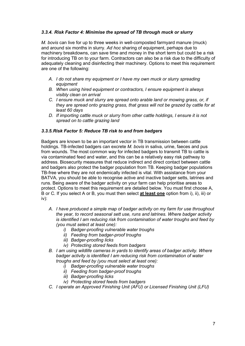# *3.3.4. Risk Factor 4: Minimise the spread of TB through muck or slurry*

*M. bovis* can live for up to three weeks in well-composted farmyard manure (muck) and around six months in slurry. *Ad hoc* sharing of equipment, perhaps due to machinery breakdowns, can save time and money in the short term but could be a risk for introducing TB on to your farm. Contractors can also be a risk due to the difficulty of adequately cleaning and disinfecting their machinery. Options to meet this requirement are one of the following:

- *A. I do not share my equipment or I have my own muck or slurry spreading equipment*
- *B. When using hired equipment or contractors, I ensure equipment is always visibly clean on arrival*
- *C. I ensure muck and slurry are spread onto arable land or mowing grass, or, if they are spread onto grazing grass, that grass will not be grazed by cattle for at least 60 days*
- *D. If importing cattle muck or slurry from other cattle holdings, I ensure it is not spread on to cattle grazing land*

#### *3.3.5.Risk Factor 5: Reduce TB risk to and from badgers*

Badgers are known to be an important vector in TB transmission between cattle holdings. TB-infected badgers can excrete *M. bovis* in saliva, urine, faeces and pus from wounds. The most common way for infected badgers to transmit TB to cattle is via contaminated feed and water, and this can be a relatively easy risk pathway to address. Biosecurity measures that reduce indirect and direct contact between cattle and badgers also protect the badger population from TB. Keeping badger populations TB-free where they are not endemically infected is vital. With assistance from your BATVA, you should be able to recognise active and inactive badger setts, latrines and runs. Being aware of the badger activity on your farm can help prioritise areas to protect. Options to meet this requirement are detailed below. You must first choose A, B or C. If you select A or B, you must then select **at least one** option from i), ii), iii) or iv):

- *A. I have produced a simple map of badger activity on my farm for use throughout the year, to record seasonal sett use, runs and latrines. Where badger activity is identified I am reducing risk from contamination of water troughs and feed by (you must select at least one):*
	- *i) Badger-proofing vulnerable water troughs*
	- *ii) Feeding from badger-proof troughs*
	- *iii) Badger-proofing licks*
	- *iv) Protecting stored feeds from badgers*
- *B. I am using wildlife cameras in yards to identify areas of badger activity. Where badger activity is identified I am reducing risk from contamination of water troughs and feed by (you must select at least one):*
	- *i) Badger-proofing vulnerable water troughs*
	- *ii) Feeding from badger-proof troughs*
	- *iii) Badger-proofing licks*
	- *iv) Protecting stored feeds from badgers*
- *C. I operate an Approved Finishing Unit (AFU) or Licensed Finishing Unit (LFU)*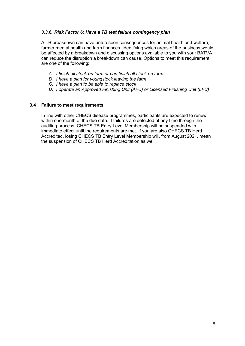# *3.3.6. Risk Factor 6: Have a TB test failure contingency plan*

A TB breakdown can have unforeseen consequences for animal health and welfare, farmer mental health and farm finances. Identifying which areas of the business would be affected by a breakdown and discussing options available to you with your BATVA can reduce the disruption a breakdown can cause. Options to meet this requirement are one of the following:

- *A. I finish all stock on farm or can finish all stock on farm*
- *B. I have a plan for youngstock leaving the farm*
- *C. I have a plan to be able to replace stock*
- *D. I operate an Approved Finishing Unit (AFU) or Licensed Finishing Unit (LFU)*

#### <span id="page-7-0"></span>**3.4 Failure to meet requirements**

In line with other CHECS disease programmes, participants are expected to renew within one month of the due date. If failures are detected at any time through the auditing process, CHECS TB Entry Level Membership will be suspended with immediate effect until the requirements are met. If you are also CHECS TB Herd Accredited, losing CHECS TB Entry Level Membership will, from August 2021, mean the suspension of CHECS TB Herd Accreditation as well.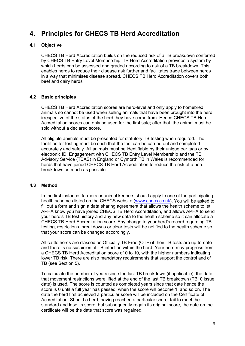# <span id="page-8-0"></span>**4. Principles for CHECS TB Herd Accreditation**

# <span id="page-8-1"></span>**4.1 Objective**

CHECS TB Herd Accreditation builds on the reduced risk of a TB breakdown conferred by CHECS TB Entry Level Membership. TB Herd Accreditation provides a system by which herds can be assessed and graded according to risk of a TB breakdown. This enables herds to reduce their disease risk further and facilitates trade between herds in a way that minimises disease spread. CHECS TB Herd Accreditation covers both beef and dairy herds.

# <span id="page-8-2"></span>**4.2 Basic principles**

CHECS TB Herd Accreditation scores are herd-level and only apply to homebred animals so cannot be used when selling animals that have been brought into the herd, irrespective of the status of the herd they have come from. Hence CHECS TB Herd Accreditation scores can only be used for the first sale; after that, the animal must be sold without a declared score.

All eligible animals must be presented for statutory TB testing when required. The facilities for testing must be such that the test can be carried out and completed accurately and safely. All animals must be identifiable by their unique ear tags or by electronic ID. Engagement with CHECS TB Entry Level Membership and the TB Advisory Service (TBAS) in England or Cymorth TB in Wales is recommended for herds that have joined CHECS TB Herd Accreditation to reduce the risk of a herd breakdown as much as possible.

#### <span id="page-8-3"></span>**4.3 Method**

In the first instance, farmers or animal keepers should apply to one of the participating health schemes listed on the CHECS website [\(www.checs.co.uk\)](http://www.checs.co.uk/). You will be asked to fill out a form and sign a data sharing agreement that allows the health scheme to let APHA know you have joined CHECS TB Herd Accreditation, and allows APHA to send your herd's TB test history and any new data to the health scheme so it can allocate a CHECS TB Herd Accreditation score. Any change to your herd's record regarding TB testing, restrictions, breakdowns or clear tests will be notified to the health scheme so that your score can be changed accordingly.

All cattle herds are classed as Officially TB Free (OTF) if their TB tests are up-to-date and there is no suspicion of TB infection within the herd. Your herd may progress from a CHECS TB Herd Accreditation score of 0 to 10, with the higher numbers indicating lower TB risk. There are also mandatory requirements that support the control and of TB (see Section 5).

To calculate the number of years since the last TB breakdown (if applicable), the date that movement restrictions were lifted at the end of the last TB breakdown (TB10 issue date) is used. The score is counted as completed years since that date hence the score is 0 until a full year has passed, when the score will become 1, and so on. The date the herd first achieved a particular score will be included on the Certificate of Accreditation. Should a herd, having reached a particular score, fail to meet the standard and lose its score, but subsequently regain its original score, the date on the certificate will be the date that score was regained.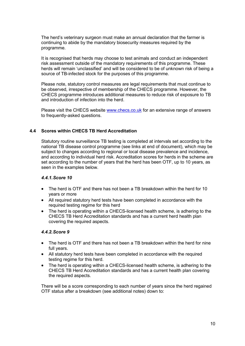The herd's veterinary surgeon must make an annual declaration that the farmer is continuing to abide by the mandatory biosecurity measures required by the programme.

It is recognised that herds may choose to test animals and conduct an independent risk assessment outside of the mandatory requirements of this programme. These herds will remain 'unclassified' and will be considered to be of unknown risk of being a source of TB-infected stock for the purposes of this programme.

Please note, statutory control measures are legal requirements that must continue to be observed, irrespective of membership of the CHECS programme. However, the CHECS programme introduces additional measures to reduce risk of exposure to TB and introduction of infection into the herd.

Please visit the CHECS website [www.checs.co.uk](http://www.checs.co.uk/) for an extensive range of answers to frequently-asked questions.

# <span id="page-9-0"></span>**4.4 Scores within CHECS TB Herd Accreditation**

Statutory routine surveillance TB testing is completed at intervals set according to the national TB disease control programme (see links at end of document), which may be subject to changes according to regional or local disease prevalence and incidence, and according to individual herd risk. Accreditation scores for herds in the scheme are set according to the number of years that the herd has been OTF, up to 10 years, as seen in the examples below.

#### *4.4.1.Score 10*

- The herd is OTF and there has not been a TB breakdown within the herd for 10 years or more
- All required statutory herd tests have been completed in accordance with the required testing regime for this herd
- The herd is operating within a CHECS-licensed health scheme, is adhering to the CHECS TB Herd Accreditation standards and has a current herd health plan covering the required aspects.

#### *4.4.2.Score 9*

- The herd is OTF and there has not been a TB breakdown within the herd for nine full years.
- All statutory herd tests have been completed in accordance with the required testing regime for this herd.
- The herd is operating within a CHECS-licensed health scheme, is adhering to the CHECS TB Herd Accreditation standards and has a current health plan covering the required aspects.

There will be a score corresponding to each number of years since the herd regained OTF status after a breakdown (see additional notes) down to: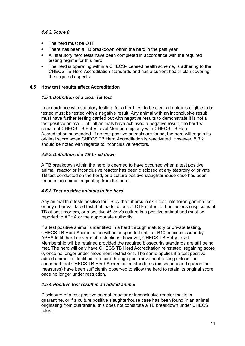# *4.4.3.Score 0*

- The herd must be OTF
- There has been a TB breakdown within the herd in the past year
- All statutory herd tests have been completed in accordance with the required testing regime for this herd.
- The herd is operating within a CHECS-licensed health scheme, is adhering to the CHECS TB Herd Accreditation standards and has a current health plan covering the required aspects.

#### <span id="page-10-0"></span>**4.5 How test results affect Accreditation**

#### *4.5.1.Definition of a clear TB test*

In accordance with statutory testing, for a herd test to be clear all animals eligible to be tested must be tested with a negative result. Any animal with an inconclusive result must have further testing carried out with negative results to demonstrate it is not a test positive animal. Until all animals have achieved a negative result, the herd will remain at CHECS TB Entry Level Membership only with CHECS TB Herd Accreditation suspended. If no test positive animals are found, the herd will regain its original score when CHECS TB Herd Accreditation is reactivated. However, 5.3.2 should be noted with regards to inconclusive reactors.

#### *4.5.2.Definition of a TB breakdown*

A TB breakdown within the herd is deemed to have occurred when a test positive animal, reactor or inconclusive reactor has been disclosed at any statutory or private TB test conducted on the herd, or a culture positive slaughterhouse case has been found in an animal originating from the herd.

#### *4.5.3.Test positive animals in the herd*

Any animal that tests positive for TB by the tuberculin skin test, interferon-gamma test or any other validated test that leads to loss of OTF status, or has lesions suspicious of TB at post-mortem, or a positive *M. bovis* culture is a positive animal and must be reported to APHA or the appropriate authority.

If a test positive animal is identified in a herd through statutory or private testing, CHECS TB Herd Accreditation will be suspended until a TB10 notice is issued by APHA to lift herd movement restrictions; however, CHECS TB Entry Level Membership will be retained provided the required biosecurity standards are still being met. The herd will only have CHECS TB Herd Accreditation reinstated, regaining score 0, once no longer under movement restrictions. The same applies if a test positive added animal is identified in a herd through post-movement testing unless it is confirmed that CHECS TB Herd Accreditation standards (biosecurity and quarantine measures) have been sufficiently observed to allow the herd to retain its original score once no longer under restriction.

#### *4.5.4.Positive test result in an added animal*

Disclosure of a test positive animal, reactor or inconclusive reactor that is in quarantine, or if a culture positive slaughterhouse case has been found in an animal originating from quarantine, this does not constitute a TB breakdown under CHECS rules.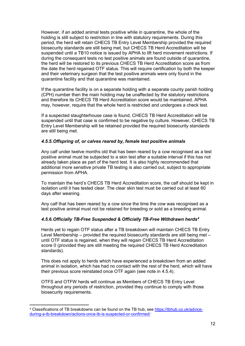However, if an added animal tests positive while in quarantine, the whole of the holding is still subject to restriction in line with statutory requirements. During this period, the herd will retain CHECS TB Entry Level Membership provided the required biosecurity standards are still being met, but CHECS TB Herd Accreditation will be suspended until a TB10 notice is issued by APHA to lift herd movement restrictions. If during the consequent tests no test positive animals are found outside of quarantine, the herd will be restored to its previous CHECS TB Herd Accreditation score as from the date the herd regained OTF status. This will require certification by both the keeper and their veterinary surgeon that the test positive animals were only found in the quarantine facility and that quarantine was maintained.

If the quarantine facility is on a separate holding with a separate county parish holding (CPH) number then the main holding may be unaffected by the statutory restrictions and therefore its CHECS TB Herd Accreditation score would be maintained. APHA may, however, require that the whole herd is restricted and undergoes a check test.

If a suspected slaughterhouse case is found, CHECS TB Herd Accreditation will be suspended until that case is confirmed to be negative by culture. However, CHECS TB Entry Level Membership will be retained provided the required biosecurity standards are still being met.

# *4.5.5.Offspring of, or calves reared by, female test positive animals*

Any calf under twelve months old that has been reared by a cow recognised as a test positive animal must be subjected to a skin test after a suitable interval if this has not already taken place as part of the herd test. It is also highly recommended that additional more sensitive private TB testing is also carried out, subject to appropriate permission from APHA.

To maintain the herd's CHECS TB Herd Accreditation score, the calf should be kept in isolation until it has tested clear. The clear skin test must be carried out at least 60 days after weaning.

Any calf that has been reared by a cow since the time the cow was recognised as a test positive animal must not be retained for breeding or sold as a breeding animal.

#### *4.5.6.Officially TB-Free Suspended & Officially TB-Free Withdrawn herds[4](#page-11-0)*

Herds yet to regain OTF status after a TB breakdown will maintain CHECS TB Entry Level Membership – provided the required biosecurity standards are still being met – until OTF status is regained, when they will regain CHECS TB Herd Accreditation score 0 (provided they are still meeting the required CHECS TB Herd Accreditation standards).

This does not apply to herds which have experienced a breakdown from an added animal in isolation, which has had no contact with the rest of the herd, which will have their previous score reinstated once OTF again (see note in 4.5.4).

OTFS and OTFW herds will continue as Members of CHECS TB Entry Level throughout any periods of restriction, provided they continue to comply with those biosecurity requirements.

<span id="page-11-0"></span><sup>4</sup> Classifications of TB breakdowns can be found on the TB hub, see [https://tbhub.co.uk/advice](https://tbhub.co.uk/advice-during-a-tb-breakdown/actions-once-tb-is-suspected-or-confirmed/)[during-a-tb-breakdown/actions-once-tb-is-suspected-or-confirmed/](https://tbhub.co.uk/advice-during-a-tb-breakdown/actions-once-tb-is-suspected-or-confirmed/)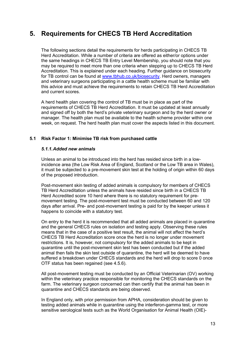# <span id="page-12-0"></span>**5. Requirements for CHECS TB Herd Accreditation**

The following sections detail the requirements for herds participating in CHECS TB Herd Accreditation. While a number of criteria are offered as either/or options under the same headings in CHECS TB Entry Level Membership, you should note that you may be required to meet more than one criteria when stepping up to CHECS TB Herd Accreditation. This is explained under each heading. Further guidance on biosecurity for TB control can be found at [www.tbhub.co.uk/biosecurity.](http://www.tbhub.co.uk/biosecurity) Herd owners, managers and veterinary surgeons participating in a cattle health scheme must be familiar with this advice and must achieve the requirements to retain CHECS TB Herd Accreditation and current scores.

A herd health plan covering the control of TB must be in place as part of the requirements of CHECS TB Herd Accreditation. It must be updated at least annually and signed off by both the herd's private veterinary surgeon and by the herd owner or manager. The health plan must be available to the health scheme provider within one week, on request. The herd health plan must cover the aspects listed in this document.

# <span id="page-12-1"></span>**5.1 Risk Factor 1: Minimise TB risk from purchased cattle**

#### *5.1.1.Added new animals*

Unless an animal to be introduced into the herd has resided since birth in a lowincidence area (the Low Risk Area of England, Scotland or the Low TB area in Wales), it must be subjected to a pre-movement skin test at the holding of origin within 60 days of the proposed introduction.

Post-movement skin testing of added animals is compulsory for members of CHECS TB Herd Accreditation unless the animals have resided since birth in a CHECS TB Herd Accredited score 10 herd where there is no statutory requirement for premovement testing. The post-movement test must be conducted between 60 and 120 days after arrival. Pre- and post-movement testing is paid for by the keeper unless it happens to coincide with a statutory test.

On entry to the herd it is recommended that all added animals are placed in quarantine and the general CHECS rules on isolation and testing apply. Observing these rules means that in the case of a positive test result, the animal will not affect the herd's CHECS TB Herd Accreditation score once the herd is no longer under movement restrictions. It is, however, not compulsory for the added animals to be kept in quarantine until the post-movement skin test has been conducted but if the added animal then fails the skin test outside of quarantine, the herd will be deemed to have suffered a breakdown under CHECS standards and the herd will drop to score 0 once OTF status has been regained (see 4.5.6).

All post-movement testing must be conducted by an Official Veterinarian (OV) working within the veterinary practice responsible for monitoring the CHECS standards on the farm. The veterinary surgeon concerned can then certify that the animal has been in quarantine and CHECS standards are being observed.

In England only, with prior permission from APHA, consideration should be given to testing added animals while in quarantine using the interferon-gamma test, or more sensitive serological tests such as the World Organisation for Animal Health (OIE)-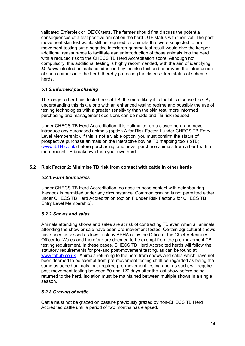validated Enferplex or IDEXX tests. The farmer should first discuss the potential consequences of a test positive animal on the herd OTF status with their vet. The postmovement skin test would still be required for animals that were subjected to premovement testing but a negative interferon-gamma test result would give the keeper additional reassurance to facilitate earlier introduction of those animals into the herd with a reduced risk to the CHECS TB Herd Accreditation score. Although not compulsory, this additional testing is highly recommended, with the aim of identifying *M. bovis* infected animals not identified by the skin test and to prevent the introduction of such animals into the herd, thereby protecting the disease-free status of scheme herds.

# *5.1.2.Informed purchasing*

The longer a herd has tested free of TB, the more likely it is that it is disease free. By understanding this risk, along with an enhanced testing regime and possibly the use of testing technologies with a greater sensitivity than the skin test, more informed purchasing and management decisions can be made and TB risk reduced.

Under CHECS TB Herd Accreditation, it is optimal to run a closed herd and never introduce any purchased animals (option A for Risk Factor 1 under CHECS TB Entry Level Membership). If this is not a viable option, you must confirm the status of prospective purchase animals on the interactive bovine TB mapping tool (ibTB) [\(www.ibTB.co.uk\)](http://www.ibtb.co.uk/) before purchasing, and never purchase animals from a herd with a more recent TB breakdown than your own herd.

# <span id="page-13-0"></span>**5.2 Risk Factor 2: Minimise TB risk from contact with cattle in other herds**

# *5.2.1.Farm boundaries*

Under CHECS TB Herd Accreditation, no nose-to-nose contact with neighbouring livestock is permitted under any circumstance. Common grazing is not permitted either under CHECS TB Herd Accreditation (option F under Risk Factor 2 for CHECS TB Entry Level Membership).

# *5.2.2.Shows and sales*

Animals attending shows and sales are at risk of contracting TB even when all animals attending the show or sale have been pre-movement tested. Certain agricultural shows have been assessed as lower risk by APHA or by the Office of the Chief Veterinary Officer for Wales and therefore are deemed to be exempt from the pre-movement TB testing requirement. In these cases, CHECS TB Herd Accredited herds will follow the statutory requirements for pre-and post-movement testing, as can be found at [www.tbhub.co.uk.](http://www.tbhub.co.uk/) Animals returning to the herd from shows and sales which have not been deemed to be exempt from pre-movement testing shall be regarded as being the same as added animals that required pre-movement testing and, as such, will require post-movement testing between 60 and 120 days after the last show before being returned to the herd. Isolation must be maintained between multiple shows in a single season.

# *5.2.3.Grazing of cattle*

Cattle must not be grazed on pasture previously grazed by non-CHECS TB Herd Accredited cattle until a period of two months has elapsed.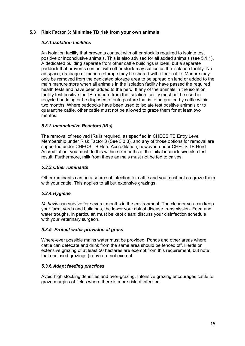# <span id="page-14-0"></span>**5.3 Risk Factor 3: Minimise TB risk from your own animals**

#### *5.3.1.Isolation facilities*

An isolation facility that prevents contact with other stock is required to isolate test positive or inconclusive animals. This is also advised for all added animals (see 5.1.1). A dedicated building separate from other cattle buildings is ideal, but a separate paddock that prevents contact with other stock may suffice as the isolation facility. No air space, drainage or manure storage may be shared with other cattle. Manure may only be removed from the dedicated storage area to be spread on land or added to the main manure store when all animals in the isolation facility have passed the required health tests and have been added to the herd. If any of the animals in the isolation facility test positive for TB, manure from the isolation facility must not be used in recycled bedding or be disposed of onto pasture that is to be grazed by cattle within two months. Where paddocks have been used to isolate test positive animals or to quarantine cattle, other cattle must not be allowed to graze them for at least two months.

# *5.3.2.Inconclusive Reactors (IRs)*

The removal of resolved IRs is required, as specified in CHECS TB Entry Level Membership under Risk Factor 3 (See 3.3.3), and any of those options for removal are supported under CHECS TB Herd Accreditation; however, under CHECS TB Herd Accreditation, you must do this within six months of the initial inconclusive skin test result. Furthermore, milk from these animals must not be fed to calves.

# *5.3.3.Other ruminants*

Other ruminants can be a source of infection for cattle and you must not co-graze them with your cattle. This applies to all but extensive grazings.

# *5.3.4.Hygiene*

*M. bovis* can survive for several months in the environment. The cleaner you can keep your farm, yards and buildings, the lower your risk of disease transmission. Feed and water troughs, in particular, must be kept clean; discuss your disinfection schedule with your veterinary surgeon.

#### *5.3.5. Protect water provision at grass*

Where-ever possible mains water must be provided. Ponds and other areas where cattle can defecate and drink from the same area should be fenced off. Herds on extensive grazing of at least 50 hectares are exempt from this requirement, but note that enclosed grazings (in-by) are not exempt.

#### *5.3.6.Adapt feeding practices*

Avoid high stocking densities and over-grazing. Intensive grazing encourages cattle to graze margins of fields where there is more risk of infection.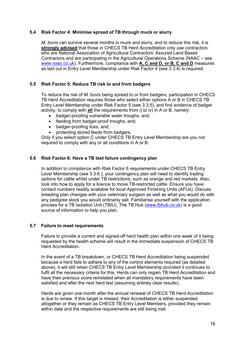#### <span id="page-15-0"></span>**5.4 Risk Factor 4: Minimise spread of TB through muck or slurry**

*M. bovis* can survive several months in muck and slurry, and to reduce this risk, it is **strongly advised** that those in CHECS TB Herd Accreditation only use contractors who are National Association of Agricultural Contractors' Assured Land Based Contractors and are participating in the Agricultural Operations Scheme (NAAC – see [www.naac.co.uk\)](http://www.naac.co.uk/). Furthermore, compliance with **A, C and D, or B, C and D** measures as laid out in Entry Level Membership under Risk Factor 4 (see 3.3.4) is required.

# <span id="page-15-1"></span>**5.5 Risk Factor 5: Reduce TB risk to and from badgers**

To reduce the risk of *M. bovis* being spread to or from badgers, participation in CHECS TB Herd Accreditation requires those who select either options A or B in CHECS TB Entry Level Membership under Risk Factor 5 (see 3.3.5), and find evidence of badger activity, to comply with **all** the requirements from i) to iv) in A or B, namely:

- badger-proofing vulnerable water troughs, and;
- feeding from badger-proof troughs, and;
- badger-proofing licks, and;
- protecting stored feeds from badgers.

Only if you select option C under CHECS TB Entry Level Membership are you not required to comply with any or all conditions in A or B.

#### <span id="page-15-2"></span>**5.6 Risk Factor 6: Have a TB test failure contingency plan**

In addition to compliance with Risk Factor 6 requirements under CHECS TB Entry Level Membership (see 3.3.6.), your contingency plan will need to identify trading options for cattle whilst under TB restrictions, such as orange and red markets. Also, look into how to apply for a licence to move TB-restricted cattle. Ensure you have contact numbers readily available for local Approved Finishing Units (AFUs). Discuss breeding plan changes with your veterinary surgeon as well as what you would do with any pedigree stock you would ordinarily sell. Familiarise yourself with the application process for a TB Isolation Unit (TBIU). The TB Hub [\(www.tbhub.co.uk\)](http://www.tbhub.co.uk/) is a good source of information to help you plan.

#### <span id="page-15-3"></span>**5.7 Failure to meet requirements**

Failure to provide a current and signed-off herd health plan within one week of it being requested by the health scheme will result in the immediate suspension of CHECS TB Herd Accreditation.

In the event of a TB breakdown, or CHECS TB Herd Accreditation being suspended because a herd fails to adhere to any of the control elements required (as detailed above), it will still retain CHECS TB Entry Level Membership provided it continues to fulfil all the necessary criteria for this. Herds can only regain TB Herd Accreditation and have their previous score reinstated when all mandatory requirements have been satisfied and after the next herd test (assuming entirely clear results).

Herds are given one month after the annual renewal of CHECS TB Herd Accreditation is due to renew. If this target is missed, their Accreditation is either suspended altogether or they remain as CHECS TB Entry Level Members, provided they remain within date and the respective requirements are still being met.